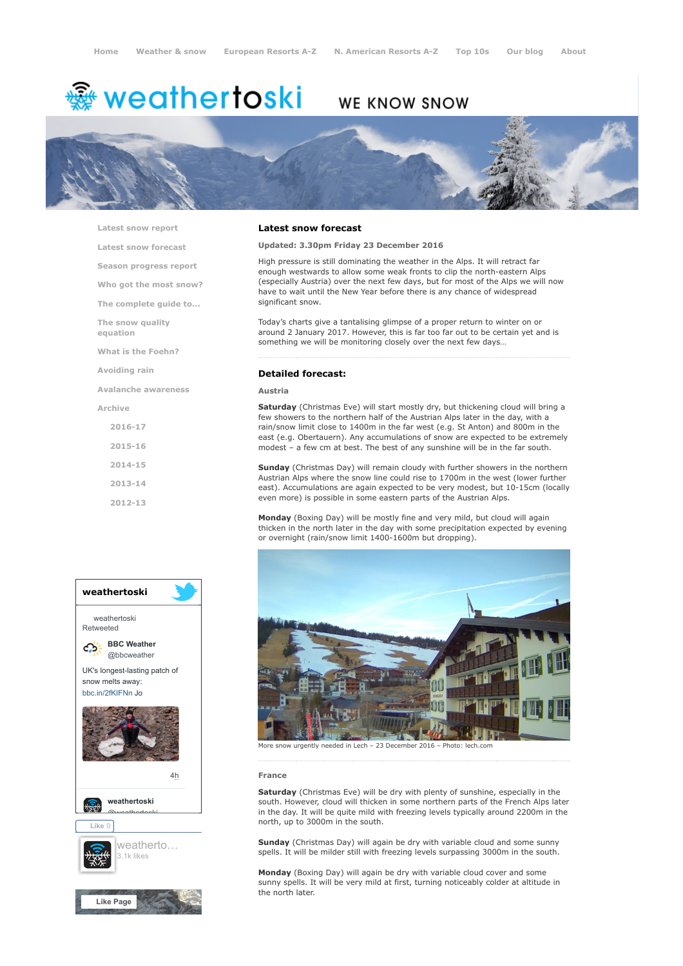# <del>鑾</del> weathertoski

# WE KNOW SNOW



[Latest snow report](https://www.weathertoski.co.uk/weather-snow/latest-snow-report/)

[Latest snow forecast](https://www.weathertoski.co.uk/weather-snow/latest-snow-forecast/)

[Season progress report](https://www.weathertoski.co.uk/weather-snow/season-progress-report/)

[Who got the most snow?](https://www.weathertoski.co.uk/weather-snow/who-got-the-most-snow/)

[The complete guide to...](https://www.weathertoski.co.uk/weather-snow/the-complete-guide-to/)

[The snow quality](https://www.weathertoski.co.uk/weather-snow/the-snow-quality-equation/)

[What is the Foehn?](https://www.weathertoski.co.uk/weather-snow/what-is-the-foehn/)

[Avoiding rain](https://www.weathertoski.co.uk/weather-snow/avoiding-rain/)

[Avalanche awareness](https://www.weathertoski.co.uk/weather-snow/avalanche-awareness/)

[Archive](https://www.weathertoski.co.uk/weather-snow/archive/)

equation

[2016-17](https://www.weathertoski.co.uk/weather-snow/archive/2016-17/) [2015-16](https://www.weathertoski.co.uk/weather-snow/archive/2015-16/) [2014-15](https://www.weathertoski.co.uk/weather-snow/archive/2014-15/) [2013-14](https://www.weathertoski.co.uk/weather-snow/archive/2013-14/)

[2012-13](https://www.weathertoski.co.uk/weather-snow/archive/2012-13/)





## Latest snow forecast

Updated: 3.30pm Friday 23 December 2016

High pressure is still dominating the weather in the Alps. It will retract far enough westwards to allow some weak fronts to clip the north-eastern Alps (especially Austria) over the next few days, but for most of the Alps we will now have to wait until the New Year before there is any chance of widespread significant snow.

Today's charts give a tantalising glimpse of a proper return to winter on or around 2 January 2017. However, this is far too far out to be certain yet and is something we will be monitoring closely over the next few days…

# Detailed forecast:

Austria

Saturday (Christmas Eve) will start mostly dry, but thickening cloud will bring a few showers to the northern half of the Austrian Alps later in the day, with a rain/snow limit close to 1400m in the far west (e.g. St Anton) and 800m in the east (e.g. Obertauern). Any accumulations of snow are expected to be extremely modest – a few cm at best. The best of any sunshine will be in the far south.

Sunday (Christmas Day) will remain cloudy with further showers in the northern Austrian Alps where the snow line could rise to 1700m in the west (lower further east). Accumulations are again expected to be very modest, but 10-15cm (locally even more) is possible in some eastern parts of the Austrian Alps.

Monday (Boxing Day) will be mostly fine and very mild, but cloud will again thicken in the north later in the day with some precipitation expected by evening or overnight (rain/snow limit 1400-1600m but dropping).



More snow urgently needed in Lech – 23 December 2016 – Photo: lech.com

#### France

Saturday (Christmas Eve) will be dry with plenty of sunshine, especially in the south. However, cloud will thicken in some northern parts of the French Alps later in the day. It will be quite mild with freezing levels typically around 2200m in the north, up to 3000m in the south.

Sunday (Christmas Day) will again be dry with variable cloud and some sunny spells. It will be milder still with freezing levels surpassing 3000m in the south.

Monday (Boxing Day) will again be dry with variable cloud cover and some sunny spells. It will be very mild at first, turning noticeably colder at altitude in the north later.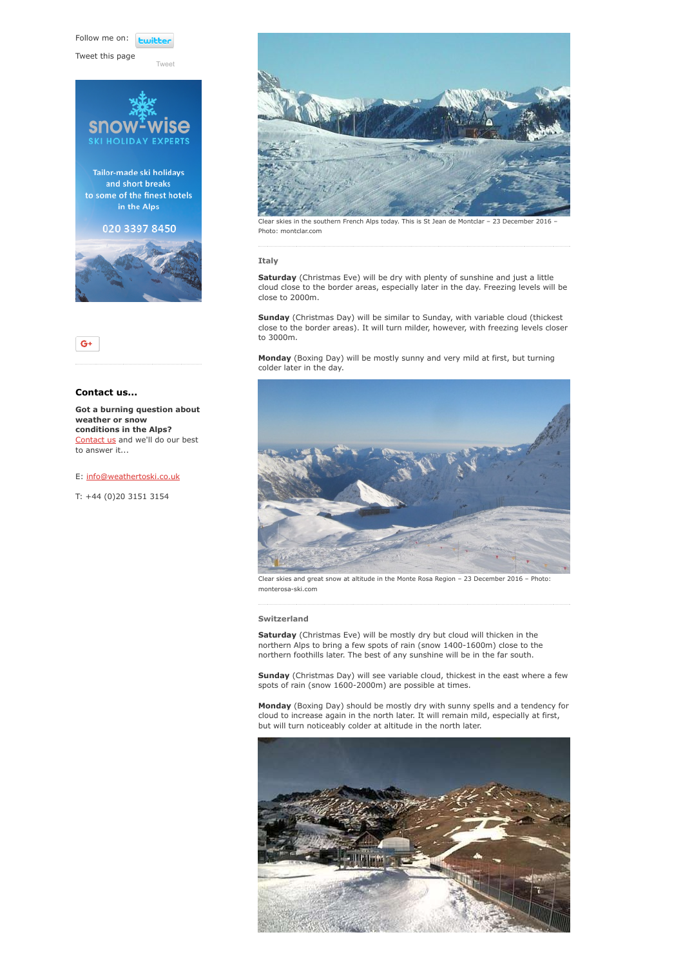Follow me on: *<u>twitte</u>* 

[Tweet](https://twitter.com/intent/tweet?original_referer=https%3A%2F%2Fwww.weathertoski.co.uk%2Fweather-snow%2Farchive%2Fsnow-forecast-23-12-2016%2F&ref_src=twsrc%5Etfw&text=Weather%20to%20ski%20-%20Snow%20forecast%20-%2023%20December%202016&tw_p=tweetbutton&url=https%3A%2F%2Fwww.weathertoski.co.uk%2Fweather-snow%2Farchive%2Fsnow-forecast-23-12-2016%2F)

Tweet this page





# Contact us...

Got a burning question about weather or snow conditions in the Alps? [Contact us](https://www.weathertoski.co.uk/about-1/contact-us/) and we'll do our best to answer it...

## E: [info@weathertoski.co.uk](mailto:fraser@weathertoski.co.uk)

T: +44 (0)20 3151 3154



Clear skies in the southern French Alps today. This is St Jean de Montclar – 23 December 2016 – Photo: montclar.com

#### Italy

Saturday (Christmas Eve) will be dry with plenty of sunshine and just a little cloud close to the border areas, especially later in the day. Freezing levels will be close to 2000m.

Sunday (Christmas Day) will be similar to Sunday, with variable cloud (thickest close to the border areas). It will turn milder, however, with freezing levels closer to 3000m.

Monday (Boxing Day) will be mostly sunny and very mild at first, but turning colder later in the day.



Clear skies and great snow at altitude in the Monte Rosa Region – 23 December 2016 – Photo: monterosa-ski.com

#### Switzerland

Saturday (Christmas Eve) will be mostly dry but cloud will thicken in the northern Alps to bring a few spots of rain (snow 1400-1600m) close to the northern foothills later. The best of any sunshine will be in the far south.

Sunday (Christmas Day) will see variable cloud, thickest in the east where a few spots of rain (snow 1600-2000m) are possible at times.

Monday (Boxing Day) should be mostly dry with sunny spells and a tendency for cloud to increase again in the north later. It will remain mild, especially at first, but will turn noticeably colder at altitude in the north later.